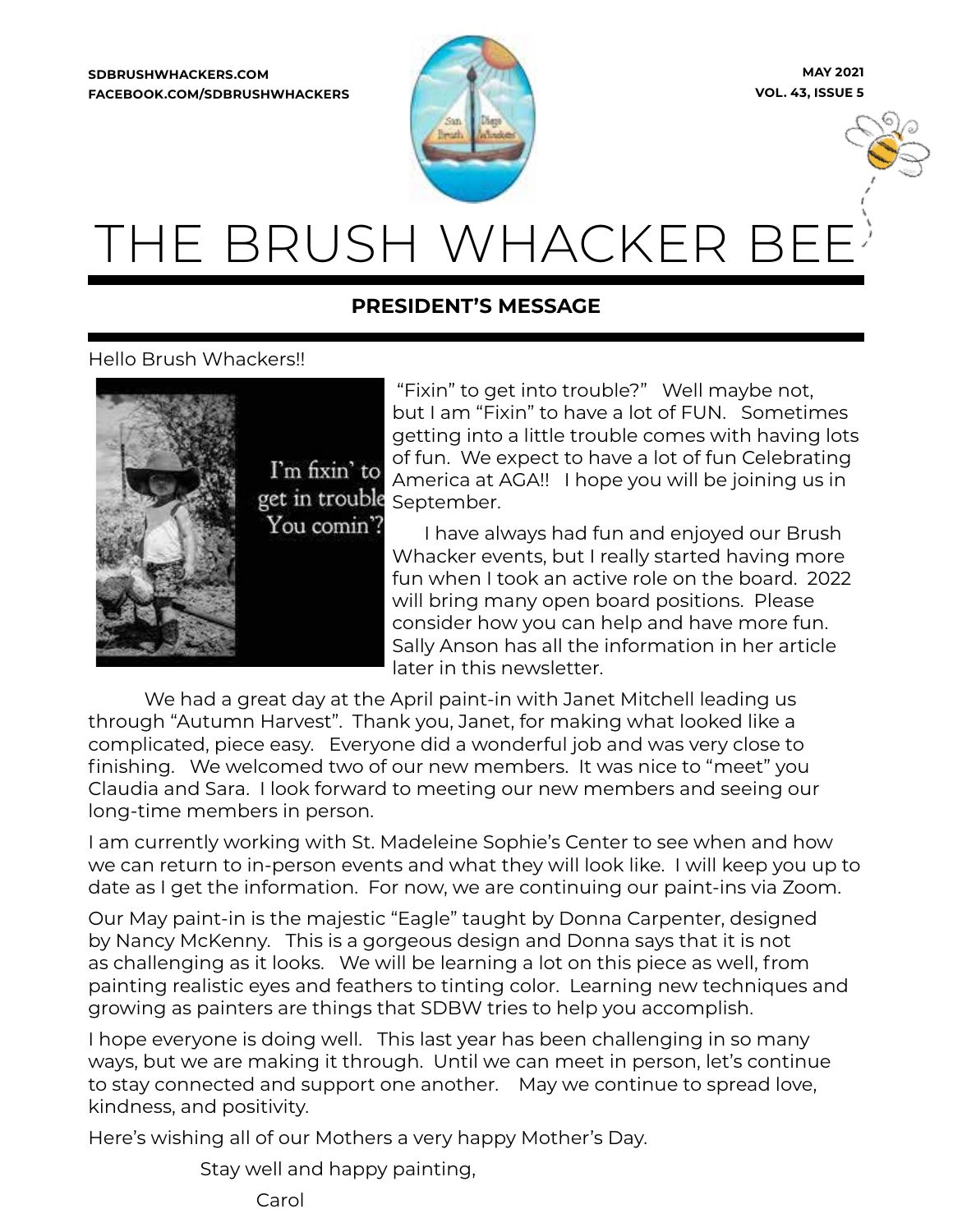**SDBRUSHWHACKERS.COM FACEBOOK.COM/SDBRUSHWHACKERS**



**MAY 2021 VOL. 43, ISSUE 5**



# THE BRUSH WHACKER BE

# **PRESIDENT'S MESSAGE**

# Hello Brush Whackers!!



 "Fixin" to get into trouble?" Well maybe not, but I am "Fixin" to have a lot of FUN. Sometimes getting into a little trouble comes with having lots of fun. We expect to have a lot of fun Celebrating America at AGA!! I hope you will be joining us in September.

I have always had fun and enjoyed our Brush Whacker events, but I really started having more fun when I took an active role on the board. 2022 will bring many open board positions. Please consider how you can help and have more fun. Sally Anson has all the information in her article later in this newsletter.

We had a great day at the April paint-in with Janet Mitchell leading us through "Autumn Harvest". Thank you, Janet, for making what looked like a complicated, piece easy. Everyone did a wonderful job and was very close to finishing. We welcomed two of our new members. It was nice to "meet" you Claudia and Sara. I look forward to meeting our new members and seeing our long-time members in person.

I am currently working with St. Madeleine Sophie's Center to see when and how we can return to in-person events and what they will look like. I will keep you up to date as I get the information. For now, we are continuing our paint-ins via Zoom.

Our May paint-in is the majestic "Eagle" taught by Donna Carpenter, designed by Nancy McKenny. This is a gorgeous design and Donna says that it is not as challenging as it looks. We will be learning a lot on this piece as well, from painting realistic eyes and feathers to tinting color. Learning new techniques and growing as painters are things that SDBW tries to help you accomplish.

I hope everyone is doing well. This last year has been challenging in so many ways, but we are making it through. Until we can meet in person, let's continue to stay connected and support one another. May we continue to spread love, kindness, and positivity.

Here's wishing all of our Mothers a very happy Mother's Day.

Stay well and happy painting,

Carol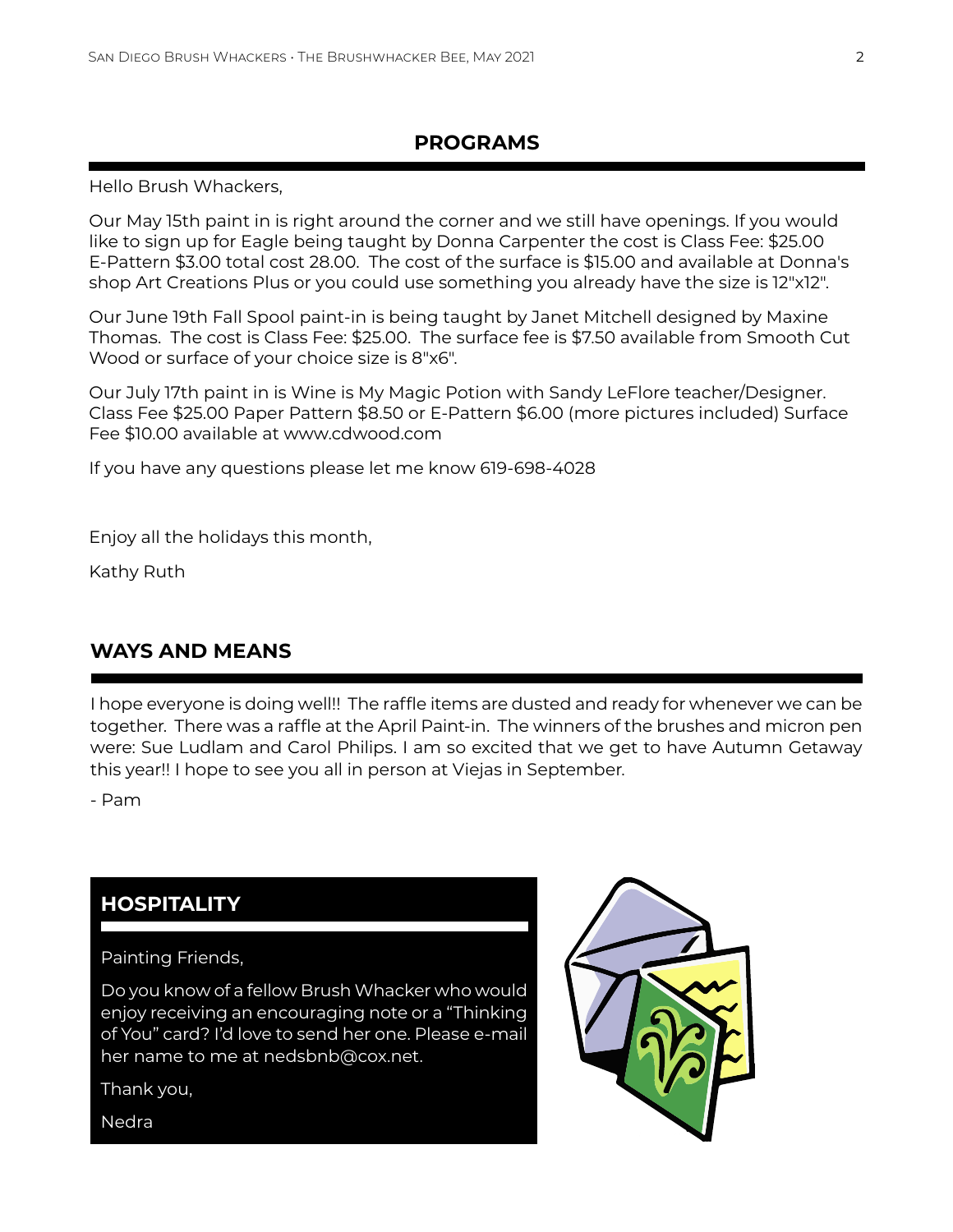# **PROGRAMS**

Hello Brush Whackers,

Our May 15th paint in is right around the corner and we still have openings. If you would like to sign up for Eagle being taught by Donna Carpenter the cost is Class Fee: \$25.00 E-Pattern \$3.00 total cost 28.00. The cost of the surface is \$15.00 and available at Donna's shop Art Creations Plus or you could use something you already have the size is 12"x12".

Our June 19th Fall Spool paint-in is being taught by Janet Mitchell designed by Maxine Thomas. The cost is Class Fee: \$25.00. The surface fee is \$7.50 available from Smooth Cut Wood or surface of your choice size is 8"x6".

Our July 17th paint in is Wine is My Magic Potion with Sandy LeFlore teacher/Designer. Class Fee \$25.00 Paper Pattern \$8.50 or E-Pattern \$6.00 (more pictures included) Surface Fee \$10.00 available at www.cdwood.com

If you have any questions please let me know 619-698-4028

Enjoy all the holidays this month,

Kathy Ruth

# **WAYS AND MEANS**

I hope everyone is doing well!! The raffle items are dusted and ready for whenever we can be together. There was a raffle at the April Paint-in. The winners of the brushes and micron pen were: Sue Ludlam and Carol Philips. I am so excited that we get to have Autumn Getaway this year!! I hope to see you all in person at Viejas in September.

- Pam

# **HOSPITALITY**

# Painting Friends,

Do you know of a fellow Brush Whacker who would enjoy receiving an encouraging note or a "Thinking of You" card? I'd love to send her one. Please e-mail her name to me at nedsbnb@cox.net.

Thank you,

**Nedra** 

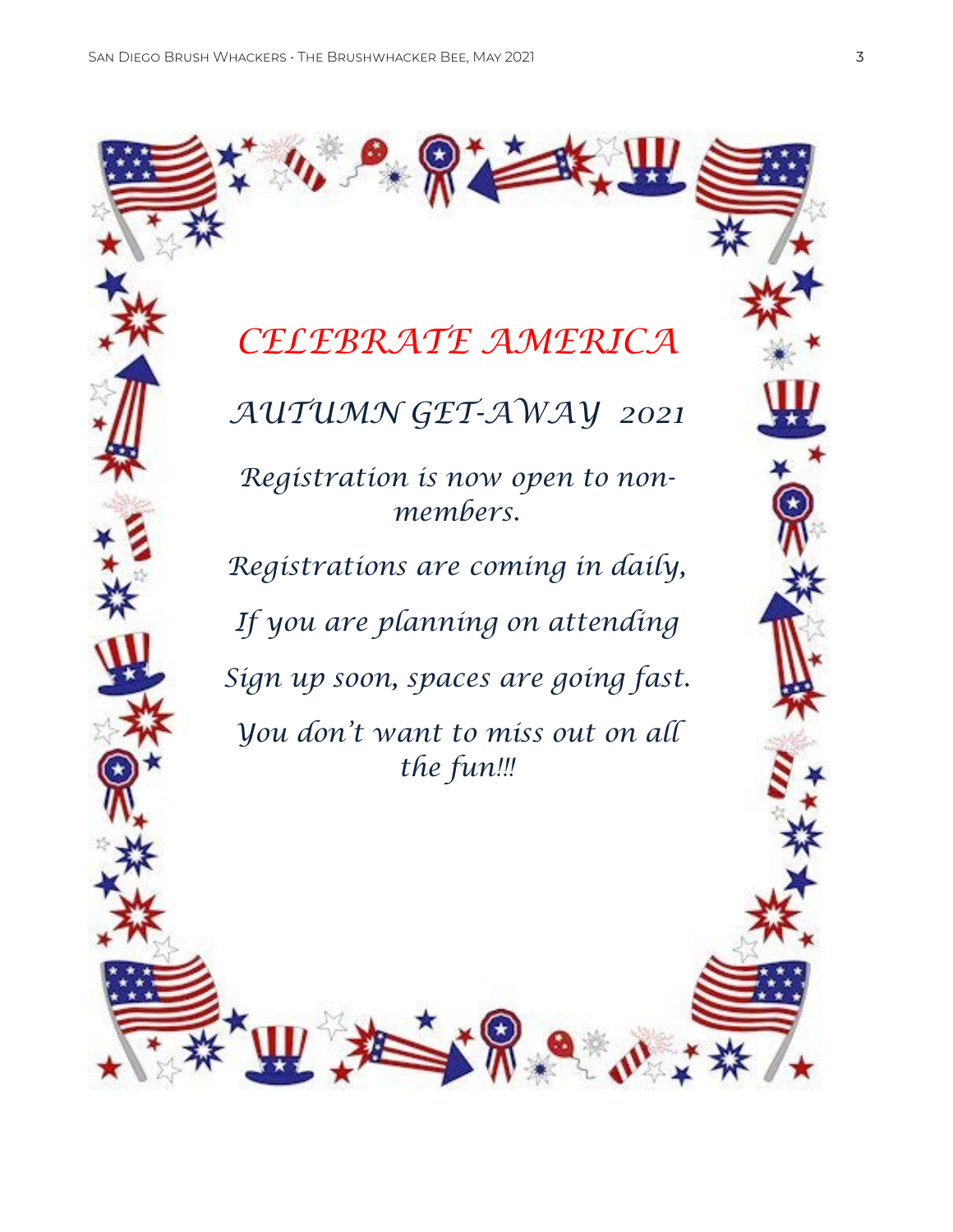

*AUTUMN GET-AWAY 2021*

*Registration is now open to nonmembers.*

*Registrations are coming in daily, If you are planning on attending Sign up soon, spaces are going fast. You don't want to miss out on all the fun!!!*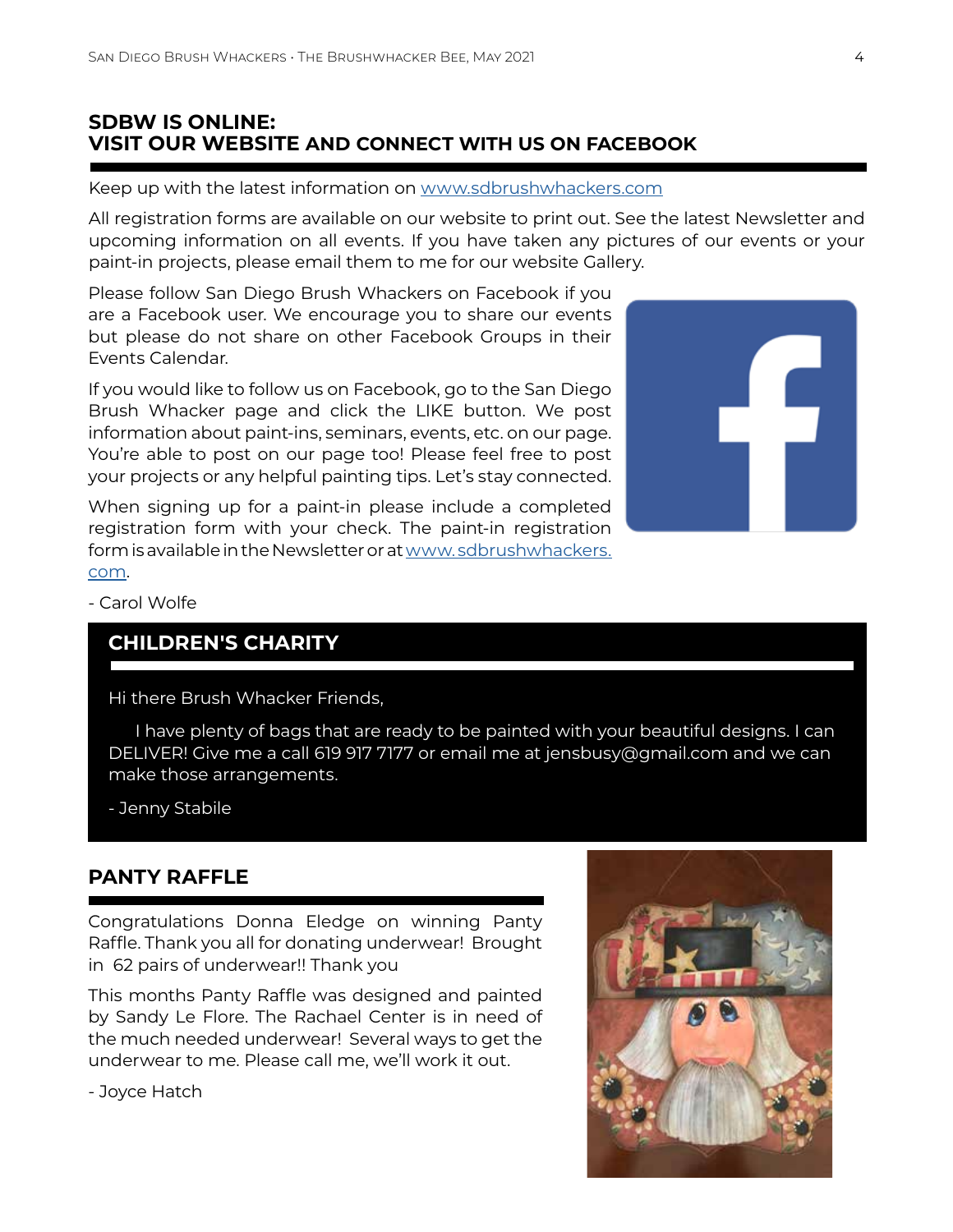## **SDBW IS ONLINE: VISIT OUR WEBSITE AND CONNECT WITH US ON FACEBOOK**

Keep up with the latest information on www.sdbrushwhackers.com

All registration forms are available on our website to print out. See the latest Newsletter and upcoming information on all events. If you have taken any pictures of our events or your paint-in projects, please email them to me for our website Gallery.

Please follow San Diego Brush Whackers on Facebook if you are a Facebook user. We encourage you to share our events but please do not share on other Facebook Groups in their Events Calendar.

If you would like to follow us on Facebook, go to the San Diego Brush Whacker page and click the LIKE button. We post information about paint-ins, seminars, events, etc. on our page. You're able to post on our page too! Please feel free to post your projects or any helpful painting tips. Let's stay connected.

When signing up for a paint-in please include a completed registration form with your check. The paint-in registration form is available in the Newsletter or at www. sdbrushwhackers. com.



- Carol Wolfe

# **CHILDREN'S CHARITY**

Hi there Brush Whacker Friends,

 I have plenty of bags that are ready to be painted with your beautiful designs. I can DELIVER! Give me a call 619 917 7177 or email me at jensbusy@gmail.com and we can make those arrangements.

- Jenny Stabile

# **PANTY RAFFLE**

Congratulations Donna Eledge on winning Panty Raffle. Thank you all for donating underwear! Brought in 62 pairs of underwear!! Thank you

This months Panty Raffle was designed and painted by Sandy Le Flore. The Rachael Center is in need of the much needed underwear! Several ways to get the underwear to me. Please call me, we'll work it out.

- Joyce Hatch

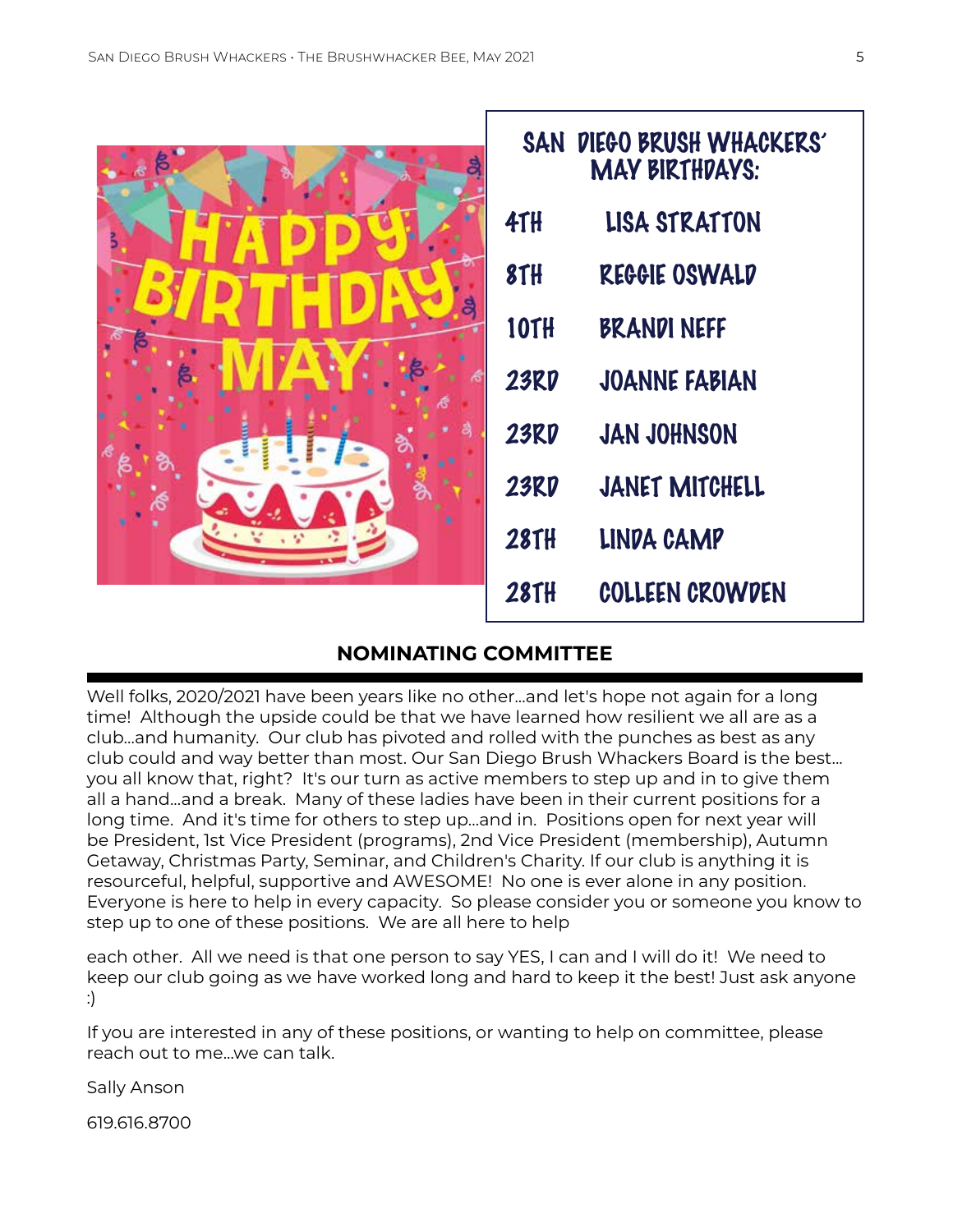| 8 | SAN DIEGO BRUSH WHACKERS'<br><b>MAY BIRTHDAYS:</b> |                       |  |
|---|----------------------------------------------------|-----------------------|--|
|   | <b>41H</b>                                         | <b>LISA STRATTON</b>  |  |
|   | 8TH                                                | REGGIE OSWALD         |  |
| å | <b>10TH</b>                                        | <b>BRANDI NEFF</b>    |  |
|   | <b>23RD</b>                                        | <b>JOANNE FABIAN</b>  |  |
| σ | <b>23RD</b>                                        | <b>JAN JOHNSON</b>    |  |
|   | <b>23RD</b>                                        | <b>JANET MITCHELL</b> |  |
|   | <b>28TH</b>                                        | LINDA CAMP            |  |
|   | <b>28TH</b>                                        | COLLEEN CROWDEN       |  |

# **NOMINATING COMMITTEE**

Well folks, 2020/2021 have been years like no other...and let's hope not again for a long time! Although the upside could be that we have learned how resilient we all are as a club...and humanity. Our club has pivoted and rolled with the punches as best as any club could and way better than most. Our San Diego Brush Whackers Board is the best... you all know that, right? It's our turn as active members to step up and in to give them all a hand...and a break. Many of these ladies have been in their current positions for a long time. And it's time for others to step up...and in. Positions open for next year will be President, 1st Vice President (programs), 2nd Vice President (membership), Autumn Getaway, Christmas Party, Seminar, and Children's Charity. If our club is anything it is resourceful, helpful, supportive and AWESOME! No one is ever alone in any position. Everyone is here to help in every capacity. So please consider you or someone you know to step up to one of these positions. We are all here to help

each other. All we need is that one person to say YES, I can and I will do it! We need to keep our club going as we have worked long and hard to keep it the best! Just ask anyone :)

If you are interested in any of these positions, or wanting to help on committee, please reach out to me...we can talk.

Sally Anson

619.616.8700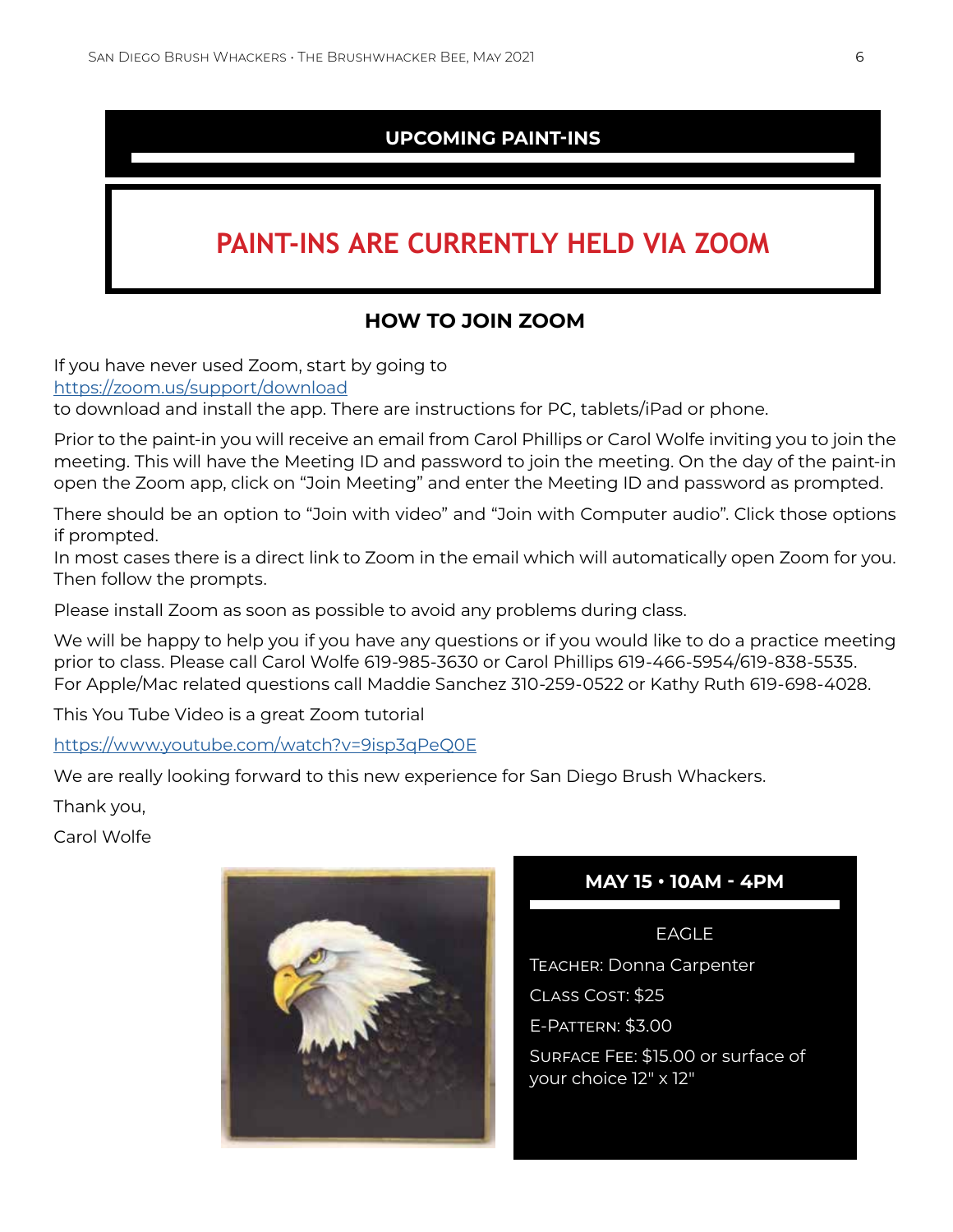# **UPCOMING PAINT-INS**

# **PAINT-INS ARE CURRENTLY HELD VIA ZOOM**

# **HOW TO JOIN ZOOM**

If you have never used Zoom, start by going to https://zoom.us/support/download

to download and install the app. There are instructions for PC, tablets/iPad or phone.

Prior to the paint-in you will receive an email from Carol Phillips or Carol Wolfe inviting you to join the meeting. This will have the Meeting ID and password to join the meeting. On the day of the paint-in open the Zoom app, click on "Join Meeting" and enter the Meeting ID and password as prompted.

There should be an option to "Join with video" and "Join with Computer audio". Click those options if prompted.

In most cases there is a direct link to Zoom in the email which will automatically open Zoom for you. Then follow the prompts.

Please install Zoom as soon as possible to avoid any problems during class.

We will be happy to help you if you have any questions or if you would like to do a practice meeting prior to class. Please call Carol Wolfe 619-985-3630 or Carol Phillips 619-466-5954/619-838-5535. For Apple/Mac related questions call Maddie Sanchez 310-259-0522 or Kathy Ruth 619-698-4028.

This You Tube Video is a great Zoom tutorial

https://www.youtube.com/watch?v=9isp3qPeQ0E

We are really looking forward to this new experience for San Diego Brush Whackers.

Thank you,

Carol Wolfe



# **MAY 15 • 10AM - 4PM**

EAGLE Teacher: Donna Carpenter Class Cost: \$25

E-Pattern: \$3.00

Surface Fee: \$15.00 or surface of your choice 12" x 12"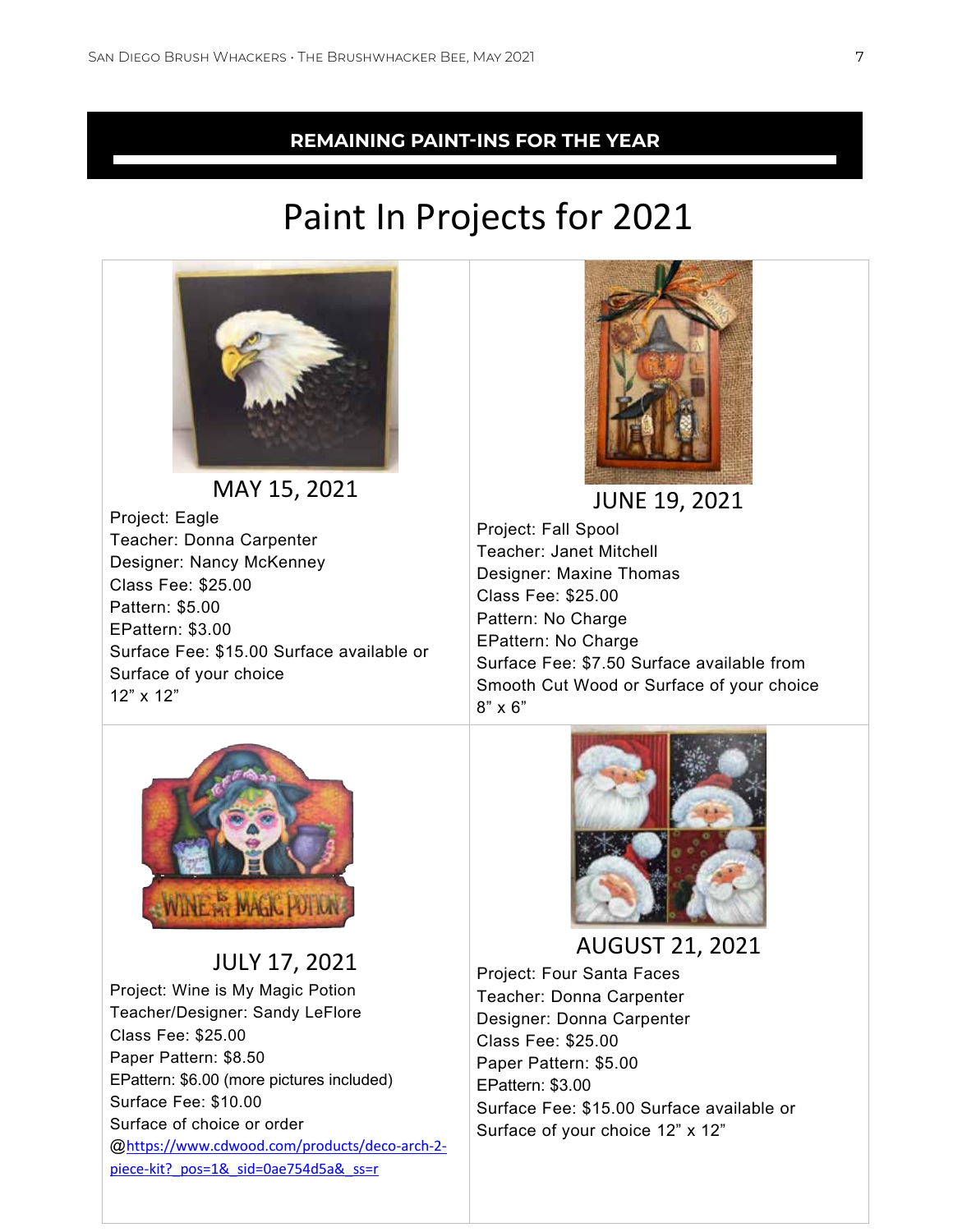# **REMAINING PAINT-INS FOR THE YEAR**

# Paint In Projects for 2021



MAY 15, 2021 Project: Eagle Teacher: Donna Carpenter Designer: Nancy McKenney Class Fee: \$25.00 Pattern: \$5.00 EPattern: \$3.00 Surface Fee: \$15.00 Surface available or Surface of your choice 12" x 12"



JUNE 19, 2021

Project: Fall Spool Teacher: Janet Mitchell Designer: Maxine Thomas Class Fee: \$25.00 Pattern: No Charge EPattern: No Charge Surface Fee: \$7.50 Surface available from Smooth Cut Wood or Surface of your choice 8" x 6"



JULY 17, 2021

Project: Wine is My Magic Potion Teacher/Designer: Sandy LeFlore Class Fee: \$25.00 Paper Pattern: \$8.50 EPattern: \$6.00 (more pictures included) Surface Fee: \$10.00 Surface of choice or order @https://www.cdwood.com/products/deco-arch-2 piece-kit? pos=1& sid=0ae754d5a& ss=r



AUGUST 21, 2021

Project: Four Santa Faces Teacher: Donna Carpenter Designer: Donna Carpenter Class Fee: \$25.00 Paper Pattern: \$5.00 EPattern: \$3.00 Surface Fee: \$15.00 Surface available or Surface of your choice 12" x 12"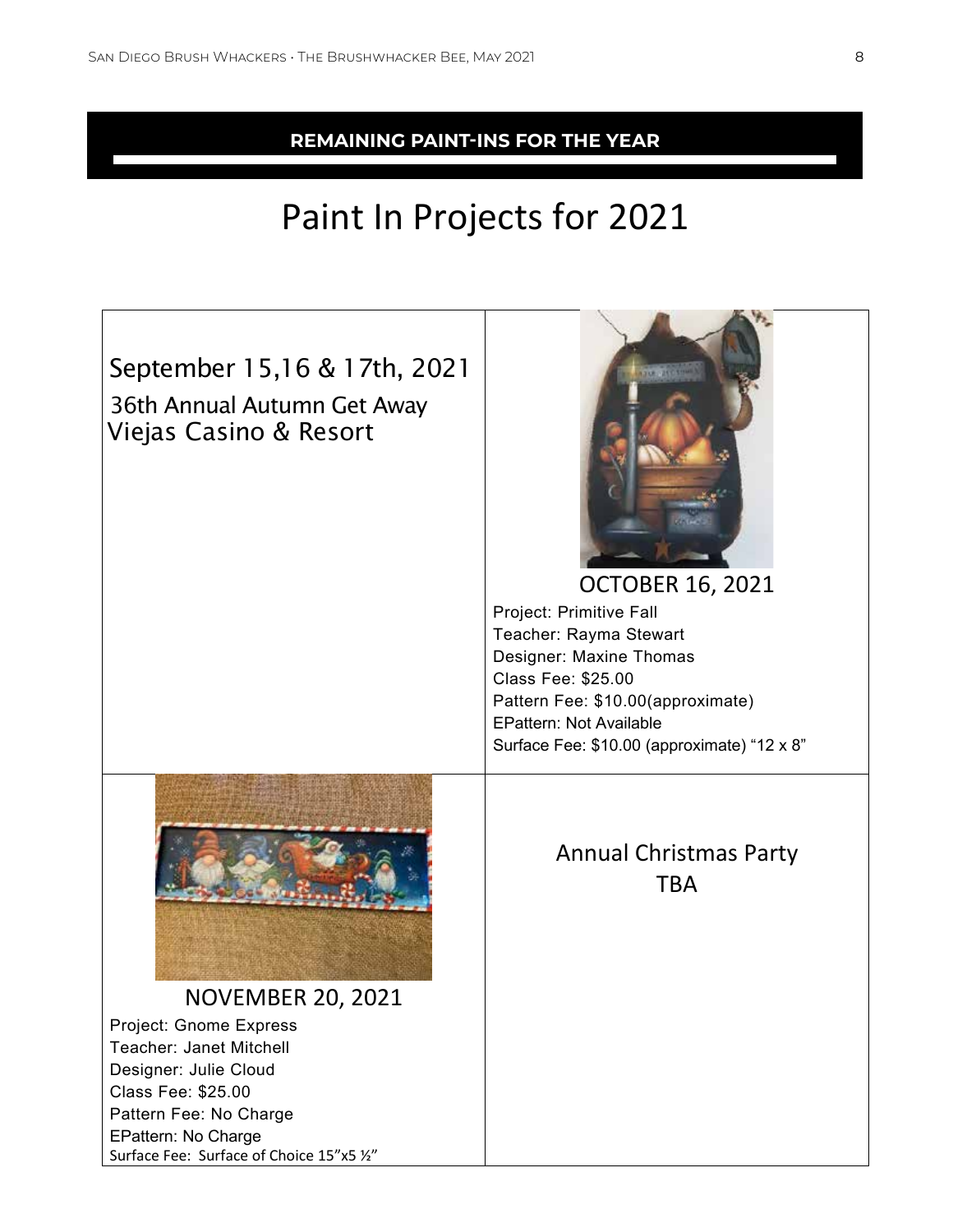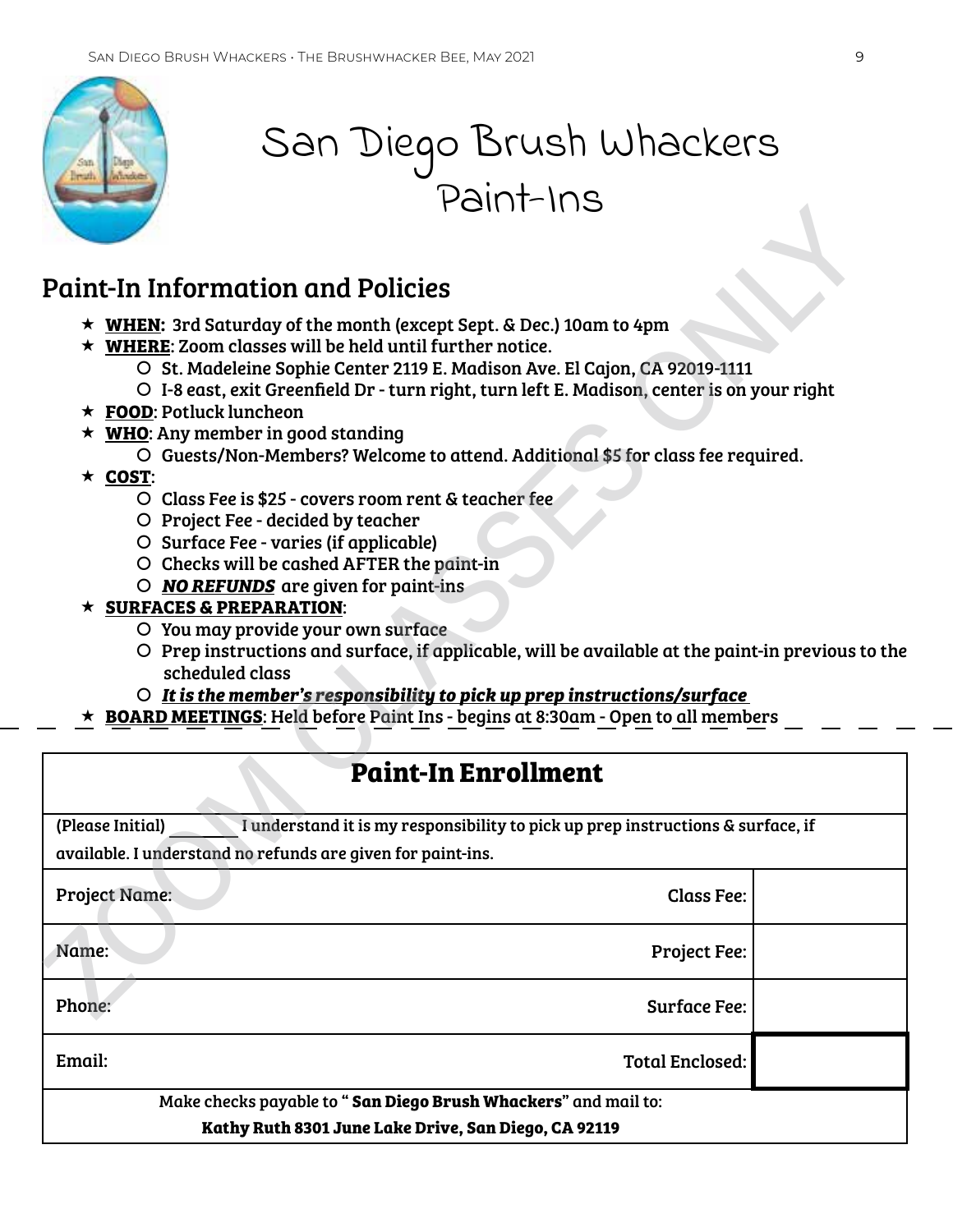

# San Diego Brush Whackers Paint-Ins

# Paint-In Information and Policies

- **WHEN:** 3rd Saturday of the month (except Sept. & Dec.) 10am to 4pm
- **WHERE**: Zoom classes will be held until further notice.
	- | St. Madeleine Sophie Center 2119 E. Madison Ave. El Cajon, CA 92019-1111
	- | I-8 east, exit Greenfield Dr turn right, turn left E. Madison, center is on your right
- **FOOD**: Potluck luncheon
- **WHO**: Any member in good standing
	- | Guests/Non-Members? Welcome to attend. Additional \$5 for class fee required.
- **COST**:
	- | Class Fee is \$25 covers room rent & teacher fee
	- O Project Fee decided by teacher
	- | Surface Fee varies (if applicable)
	- O Checks will be cashed AFTER the paint-in
	- | *NO REFUNDS* are given for paint-ins

### **SURFACES & PREPARATION**:

- | You may provide your own surface
- $O$  Prep instructions and surface, if applicable, will be available at the paint-in previous to the scheduled class
- | *It is the member's responsibility to pick up prep instructions/surface*
- **BOARD MEETINGS**: Held before Paint Ins begins at 8:30am Open to all members

| <b>UILLETT</b>                                                                                                                                                                                                                                                                                                                                                                                                                                                                                                                                                                                                                                                                                                                                                                                                                                                                                                                                                                                                                                                                                                       |                        |  |
|----------------------------------------------------------------------------------------------------------------------------------------------------------------------------------------------------------------------------------------------------------------------------------------------------------------------------------------------------------------------------------------------------------------------------------------------------------------------------------------------------------------------------------------------------------------------------------------------------------------------------------------------------------------------------------------------------------------------------------------------------------------------------------------------------------------------------------------------------------------------------------------------------------------------------------------------------------------------------------------------------------------------------------------------------------------------------------------------------------------------|------------------------|--|
|                                                                                                                                                                                                                                                                                                                                                                                                                                                                                                                                                                                                                                                                                                                                                                                                                                                                                                                                                                                                                                                                                                                      |                        |  |
| <b>Paint-In Information and Policies</b>                                                                                                                                                                                                                                                                                                                                                                                                                                                                                                                                                                                                                                                                                                                                                                                                                                                                                                                                                                                                                                                                             |                        |  |
| ★ WHEN: 3rd Saturday of the month (except Sept. & Dec.) 10am to 4pm<br>$\star$ WHERE: Zoom classes will be held until further notice.<br>O St. Madeleine Sophie Center 2119 E. Madison Ave. El Cajon, CA 92019-1111<br>O I-8 east, exit Greenfield Dr - turn right, turn left E. Madison, center is on your right<br>$\star$ FOOD: Potluck luncheon<br>$\star$ WHO: Any member in good standing<br>O Guests/Non-Members? Welcome to attend. Additional \$5 for class fee required.<br>$\star$ COST:<br>O Class Fee is \$25 - covers room rent & teacher fee<br>O Project Fee - decided by teacher<br>O Surface Fee - varies (if applicable)<br>O Checks will be cashed AFTER the paint-in<br>$\circ$ <b>NO REFUNDS</b> are given for paint-ins<br>$\star$ SURFACES & PREPARATION:<br>O You may provide your own surface<br>O Prep instructions and surface, if applicable, will be available at the paint-in previous to the<br>scheduled class<br>O It is the member's responsibility to pick up prep instructions/surface<br><b>BOARD MEETINGS:</b> Held before Paint Ins - begins at 8:30am - Open to all members |                        |  |
| <b>Paint-In Enrollment</b>                                                                                                                                                                                                                                                                                                                                                                                                                                                                                                                                                                                                                                                                                                                                                                                                                                                                                                                                                                                                                                                                                           |                        |  |
| (Please Initial)<br>I understand it is my responsibility to pick up prep instructions & surface, if                                                                                                                                                                                                                                                                                                                                                                                                                                                                                                                                                                                                                                                                                                                                                                                                                                                                                                                                                                                                                  |                        |  |
| available. I understand no refunds are given for paint-ins.                                                                                                                                                                                                                                                                                                                                                                                                                                                                                                                                                                                                                                                                                                                                                                                                                                                                                                                                                                                                                                                          |                        |  |
| <b>Project Name:</b>                                                                                                                                                                                                                                                                                                                                                                                                                                                                                                                                                                                                                                                                                                                                                                                                                                                                                                                                                                                                                                                                                                 | <b>Class Fee:</b>      |  |
| Name:                                                                                                                                                                                                                                                                                                                                                                                                                                                                                                                                                                                                                                                                                                                                                                                                                                                                                                                                                                                                                                                                                                                | <b>Project Fee:</b>    |  |
| Phone:                                                                                                                                                                                                                                                                                                                                                                                                                                                                                                                                                                                                                                                                                                                                                                                                                                                                                                                                                                                                                                                                                                               | <b>Surface Fee:</b>    |  |
| Email:                                                                                                                                                                                                                                                                                                                                                                                                                                                                                                                                                                                                                                                                                                                                                                                                                                                                                                                                                                                                                                                                                                               | <b>Total Enclosed:</b> |  |
| Make checks payable to "San Diego Brush Whackers" and mail to:                                                                                                                                                                                                                                                                                                                                                                                                                                                                                                                                                                                                                                                                                                                                                                                                                                                                                                                                                                                                                                                       |                        |  |
| Kathy Ruth 8301 June Lake Drive, San Diego, CA 92119                                                                                                                                                                                                                                                                                                                                                                                                                                                                                                                                                                                                                                                                                                                                                                                                                                                                                                                                                                                                                                                                 |                        |  |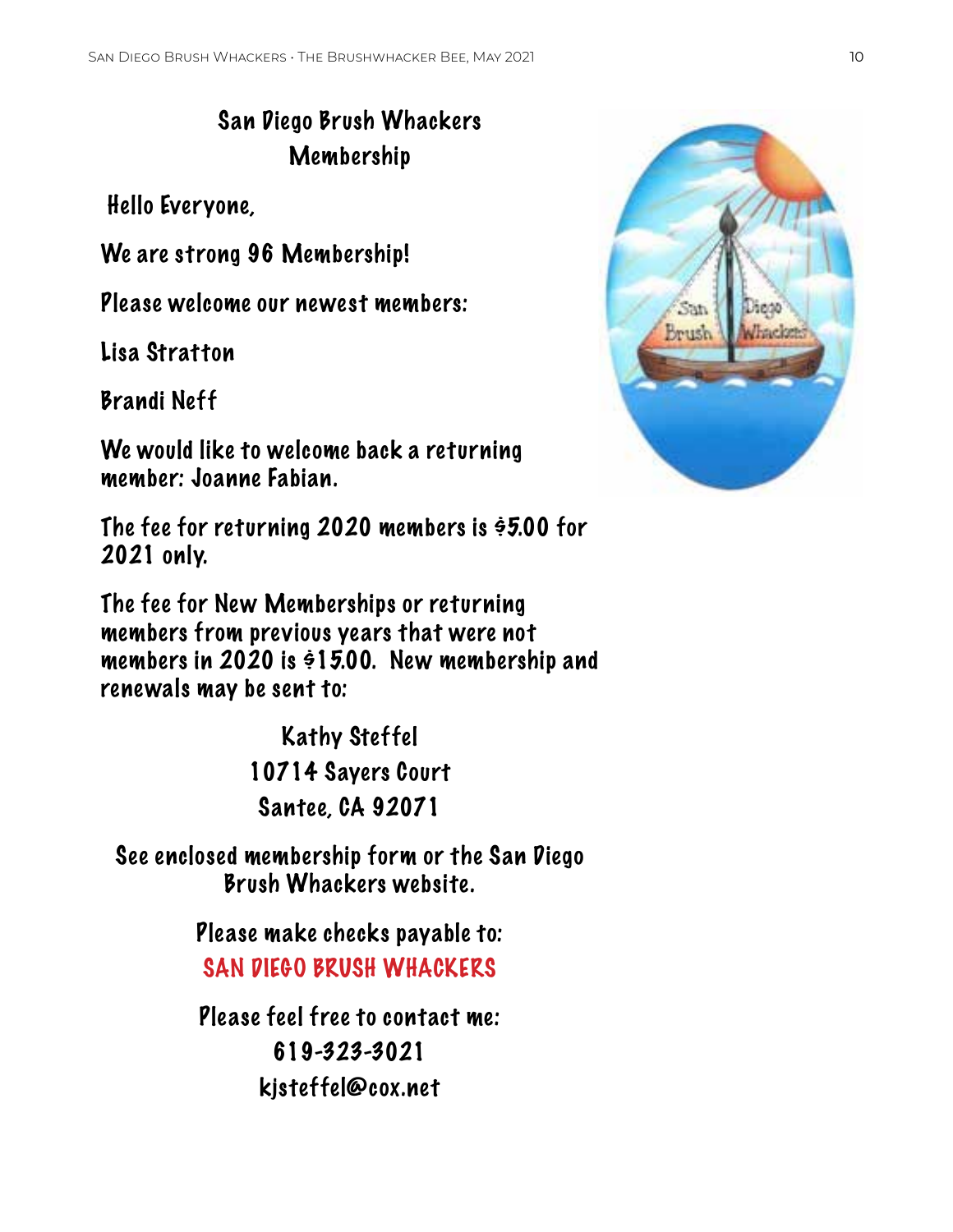# San Diego Brush Whackers Membership

Hello Everyone,

We are strong 96 Membership!

Please welcome our newest members:

Lisa Stratton

Brandi Neff

We would like to welcome back a returning member: Joanne Fabian.

The fee for returning 2020 members is \$5.00 for 2021 only.

The fee for New Memberships or returning members from previous years that were not members in 2020 is  $\dot{\varphi}$ 15.00. New membership and renewals may be sent to:

> Kathy Steffel 10714 Sayers Court Santee, CA 92071

See enclosed membership form or the San Diego Brush Whackers website.

> Please make checks payable to: SAN DIEGO BRUSH WHACKERS

> Please feel free to contact me: 619-323-3021 kjsteffel@cox.net

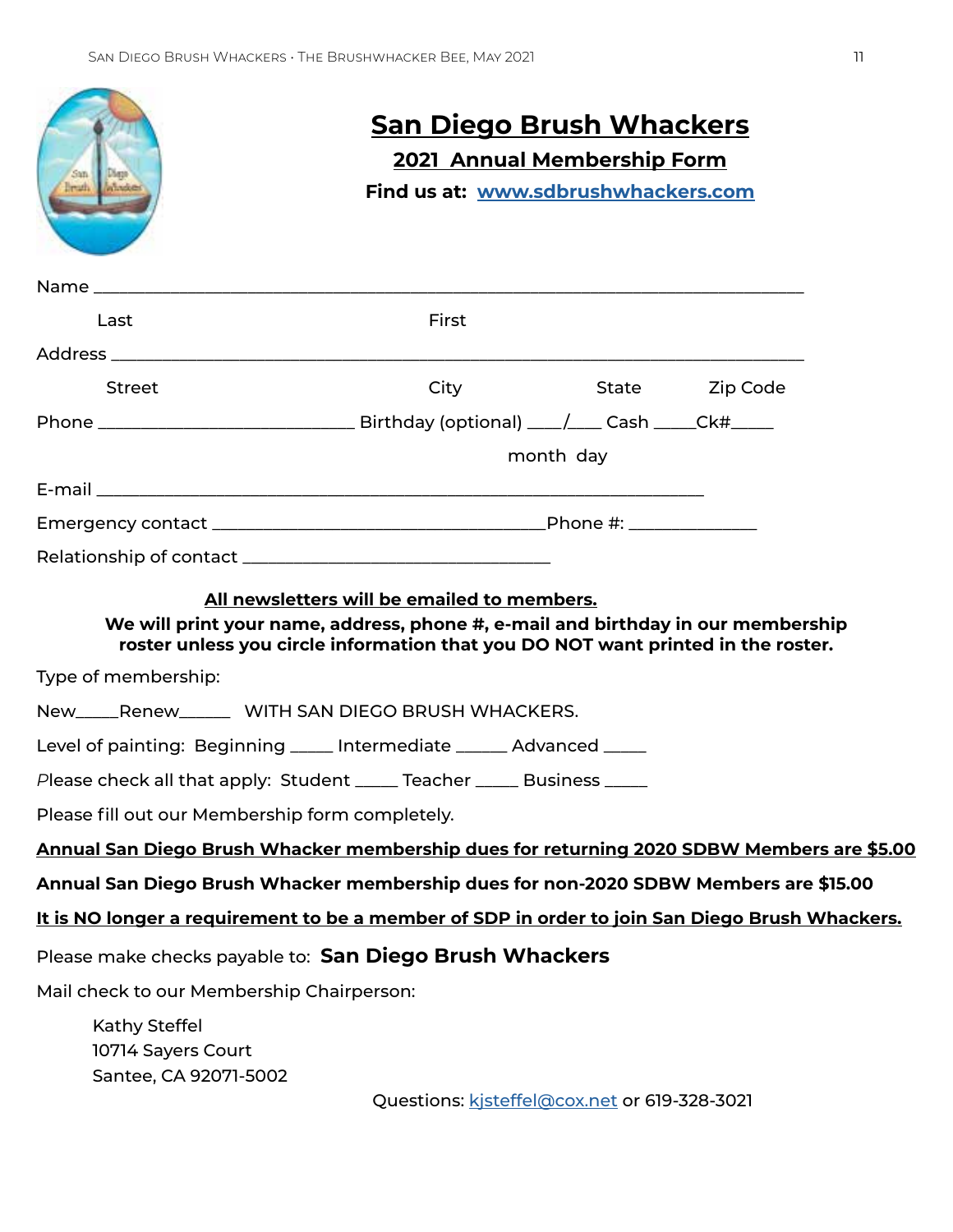|                                                                                                | <u>San Diego Brush Whackers</u>                                                                                                                                                                                     |                                                                           |                |  |  |  |
|------------------------------------------------------------------------------------------------|---------------------------------------------------------------------------------------------------------------------------------------------------------------------------------------------------------------------|---------------------------------------------------------------------------|----------------|--|--|--|
| San<br><b>L'Agge</b><br>ruh<br><b><i>PATING</i></b>                                            |                                                                                                                                                                                                                     | <b>2021 Annual Membership Form</b><br>Find us at: www.sdbrushwhackers.com |                |  |  |  |
|                                                                                                |                                                                                                                                                                                                                     |                                                                           |                |  |  |  |
|                                                                                                |                                                                                                                                                                                                                     |                                                                           |                |  |  |  |
| Last                                                                                           | First                                                                                                                                                                                                               |                                                                           |                |  |  |  |
|                                                                                                |                                                                                                                                                                                                                     |                                                                           |                |  |  |  |
| <b>Street</b>                                                                                  | City                                                                                                                                                                                                                |                                                                           | State Zip Code |  |  |  |
|                                                                                                |                                                                                                                                                                                                                     |                                                                           |                |  |  |  |
|                                                                                                |                                                                                                                                                                                                                     | month day                                                                 |                |  |  |  |
|                                                                                                |                                                                                                                                                                                                                     |                                                                           |                |  |  |  |
|                                                                                                |                                                                                                                                                                                                                     |                                                                           |                |  |  |  |
|                                                                                                |                                                                                                                                                                                                                     |                                                                           |                |  |  |  |
|                                                                                                | All newsletters will be emailed to members.<br>We will print your name, address, phone #, e-mail and birthday in our membership<br>roster unless you circle information that you DO NOT want printed in the roster. |                                                                           |                |  |  |  |
| Type of membership:                                                                            |                                                                                                                                                                                                                     |                                                                           |                |  |  |  |
| New_____Renew________ WITH SAN DIEGO BRUSH WHACKERS.                                           |                                                                                                                                                                                                                     |                                                                           |                |  |  |  |
| Level of painting: Beginning _____ Intermediate ______ Advanced _____                          |                                                                                                                                                                                                                     |                                                                           |                |  |  |  |
| Please check all that apply: Student _____ Teacher _____ Business                              |                                                                                                                                                                                                                     |                                                                           |                |  |  |  |
| Please fill out our Membership form completely.                                                |                                                                                                                                                                                                                     |                                                                           |                |  |  |  |
| Annual San Diego Brush Whacker membership dues for returning 2020 SDBW Members are \$5.00      |                                                                                                                                                                                                                     |                                                                           |                |  |  |  |
| Annual San Diego Brush Whacker membership dues for non-2020 SDBW Members are \$15.00           |                                                                                                                                                                                                                     |                                                                           |                |  |  |  |
| It is NO longer a requirement to be a member of SDP in order to join San Diego Brush Whackers. |                                                                                                                                                                                                                     |                                                                           |                |  |  |  |
| Please make checks payable to: San Diego Brush Whackers                                        |                                                                                                                                                                                                                     |                                                                           |                |  |  |  |
| Mail check to our Membership Chairperson:                                                      |                                                                                                                                                                                                                     |                                                                           |                |  |  |  |
| Kathy Steffel                                                                                  |                                                                                                                                                                                                                     |                                                                           |                |  |  |  |
| 10714 Sayers Court                                                                             |                                                                                                                                                                                                                     |                                                                           |                |  |  |  |
| Santee, CA 92071-5002                                                                          | Questions: kisteffel@cox.net or 619-328-3021                                                                                                                                                                        |                                                                           |                |  |  |  |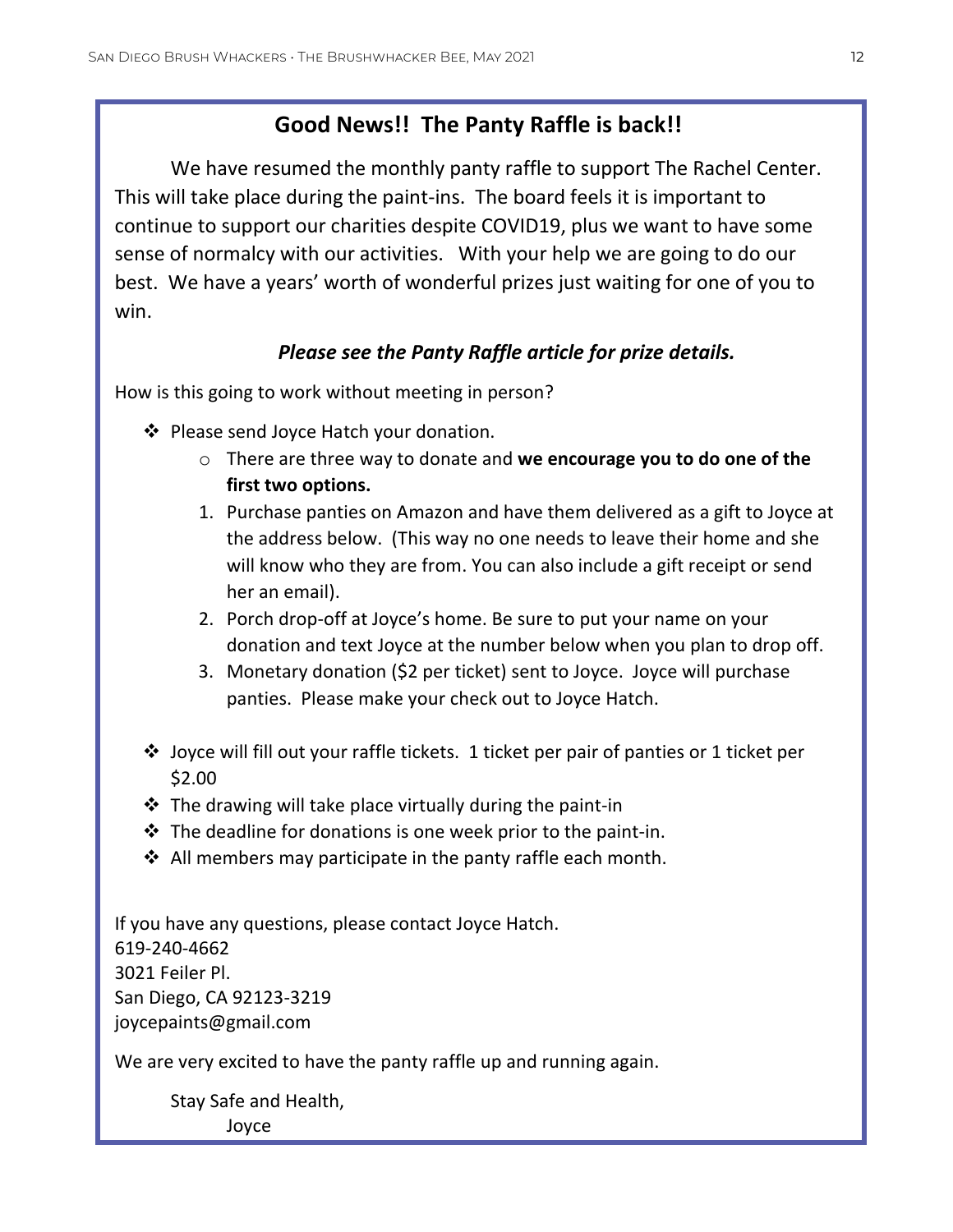# **Good News!! The Panty Raffle is back!!**

We have resumed the monthly panty raffle to support The Rachel Center. This will take place during the paint-ins. The board feels it is important to continue to support our charities despite COVID19, plus we want to have some sense of normalcy with our activities. With your help we are going to do our best. We have a years' worth of wonderful prizes just waiting for one of you to win.

# *Please see the Panty Raffle article for prize details.*

How is this going to work without meeting in person?

- ❖ Please send Joyce Hatch your donation.
	- o There are three way to donate and **we encourage you to do one of the first two options.**
	- 1. Purchase panties on Amazon and have them delivered as a gift to Joyce at the address below. (This way no one needs to leave their home and she will know who they are from. You can also include a gift receipt or send her an email).
	- 2. Porch drop-off at Joyce's home. Be sure to put your name on your donation and text Joyce at the number below when you plan to drop off.
	- 3. Monetary donation (\$2 per ticket) sent to Joyce. Joyce will purchase panties. Please make your check out to Joyce Hatch.
- ❖ Joyce will fill out your raffle tickets. 1 ticket per pair of panties or 1 ticket per \$2.00
- $\cdot$  The drawing will take place virtually during the paint-in
- ❖ The deadline for donations is one week prior to the paint-in.
- $\cdot$  All members may participate in the panty raffle each month.

If you have any questions, please contact Joyce Hatch. 619-240-4662 3021 Feiler Pl. San Diego, CA 92123-3219 joycepaints@gmail.com

We are very excited to have the panty raffle up and running again.

Stay Safe and Health, Joyce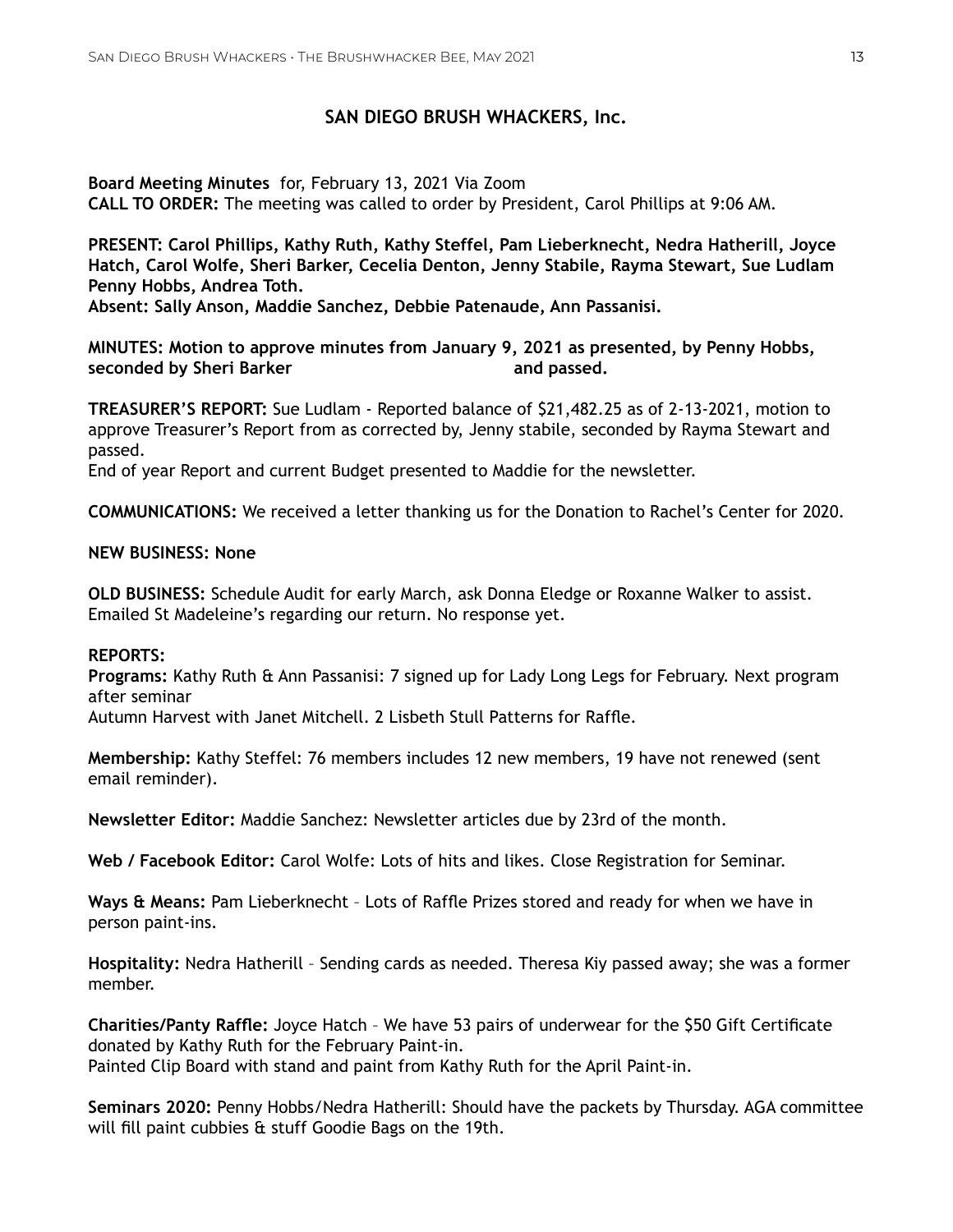#### **SAN DIEGO BRUSH WHACKERS, Inc.**

**Board Meeting Minutes** for, February 13, 2021 Via Zoom **CALL TO ORDER:** The meeting was called to order by President, Carol Phillips at 9:06 AM.

**PRESENT: Carol Phillips, Kathy Ruth, Kathy Steffel, Pam Lieberknecht, Nedra Hatherill, Joyce Hatch, Carol Wolfe, Sheri Barker, Cecelia Denton, Jenny Stabile, Rayma Stewart, Sue Ludlam Penny Hobbs, Andrea Toth.**

**Absent: Sally Anson, Maddie Sanchez, Debbie Patenaude, Ann Passanisi.**

**MINUTES: Motion to approve minutes from January 9, 2021 as presented, by Penny Hobbs, seconded by Sheri Barker and passed. and passed.** 

**TREASURER'S REPORT:** Sue Ludlam - Reported balance of \$21,482.25 as of 2-13-2021, motion to approve Treasurer's Report from as corrected by, Jenny stabile, seconded by Rayma Stewart and passed.

End of year Report and current Budget presented to Maddie for the newsletter.

**COMMUNICATIONS:** We received a letter thanking us for the Donation to Rachel's Center for 2020.

#### **NEW BUSINESS: None**

**OLD BUSINESS:** Schedule Audit for early March, ask Donna Eledge or Roxanne Walker to assist. Emailed St Madeleine's regarding our return. No response yet.

#### **REPORTS:**

**Programs:** Kathy Ruth & Ann Passanisi: 7 signed up for Lady Long Legs for February. Next program after seminar

Autumn Harvest with Janet Mitchell. 2 Lisbeth Stull Patterns for Raffle.

**Membership:** Kathy Steffel: 76 members includes 12 new members, 19 have not renewed (sent email reminder).

**Newsletter Editor:** Maddie Sanchez: Newsletter articles due by 23rd of the month.

**Web / Facebook Editor:** Carol Wolfe: Lots of hits and likes. Close Registration for Seminar.

**Ways & Means:** Pam Lieberknecht – Lots of Raffle Prizes stored and ready for when we have in person paint-ins.

**Hospitality:** Nedra Hatherill – Sending cards as needed. Theresa Kiy passed away; she was a former member.

**Charities/Panty Raffle:** Joyce Hatch – We have 53 pairs of underwear for the \$50 Gift Certificate donated by Kathy Ruth for the February Paint-in. Painted Clip Board with stand and paint from Kathy Ruth for the April Paint-in.

**Seminars 2020:** Penny Hobbs/Nedra Hatherill: Should have the packets by Thursday. AGA committee will fill paint cubbies & stuff Goodie Bags on the 19th.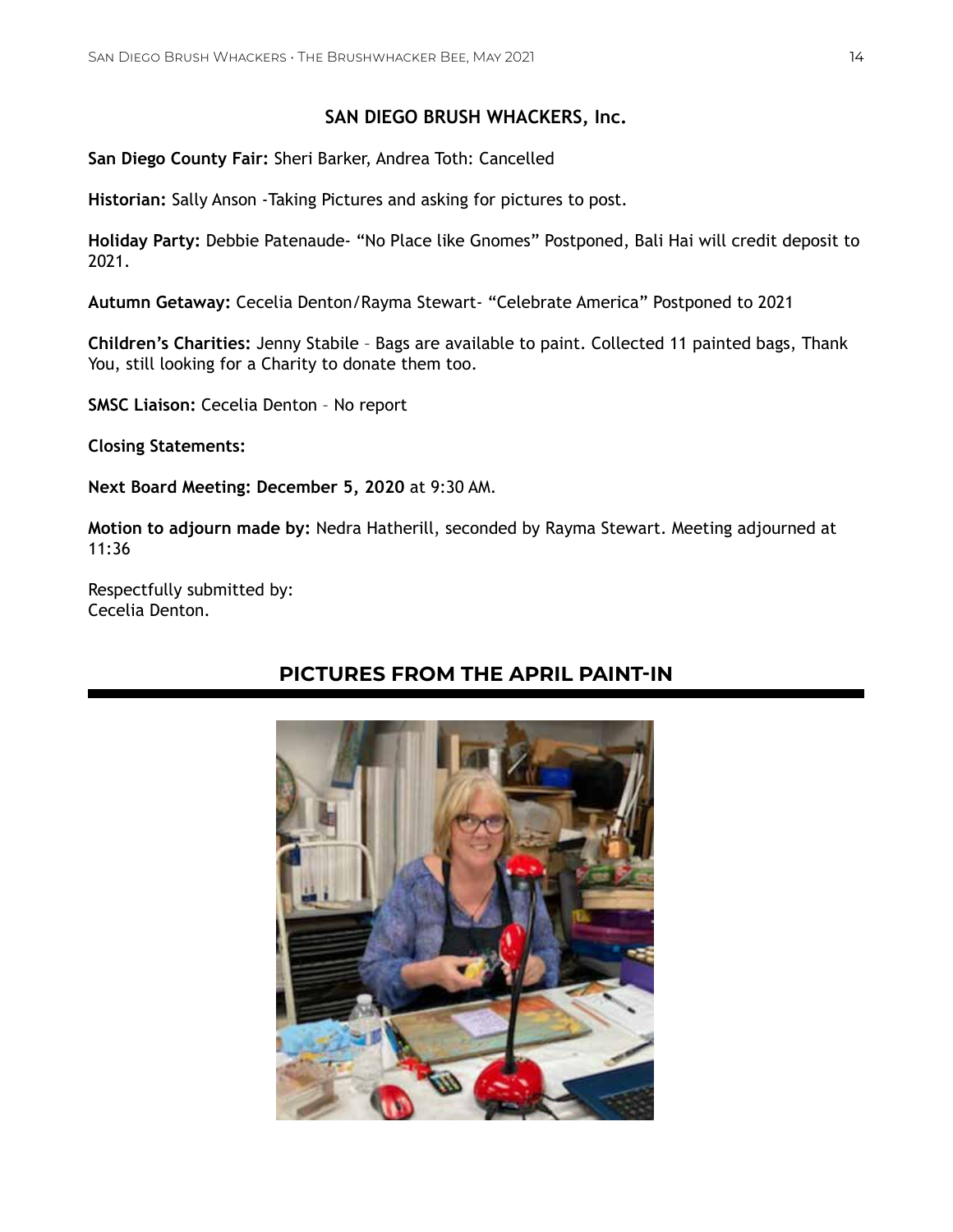# **SAN DIEGO BRUSH WHACKERS, Inc.**

**San Diego County Fair:** Sheri Barker, Andrea Toth: Cancelled

**Historian:** Sally Anson -Taking Pictures and asking for pictures to post.

**Holiday Party:** Debbie Patenaude- "No Place like Gnomes" Postponed, Bali Hai will credit deposit to 2021.

**Autumn Getaway:** Cecelia Denton/Rayma Stewart- "Celebrate America" Postponed to 2021

**Children's Charities:** Jenny Stabile – Bags are available to paint. Collected 11 painted bags, Thank You, still looking for a Charity to donate them too.

**SMSC Liaison:** Cecelia Denton – No report

**Closing Statements:**

**Next Board Meeting: December 5, 2020** at 9:30 AM.

**Motion to adjourn made by:** Nedra Hatherill, seconded by Rayma Stewart. Meeting adjourned at 11:36

Respectfully submitted by: Cecelia Denton.

# **PICTURES FROM THE APRIL PAINT-IN**

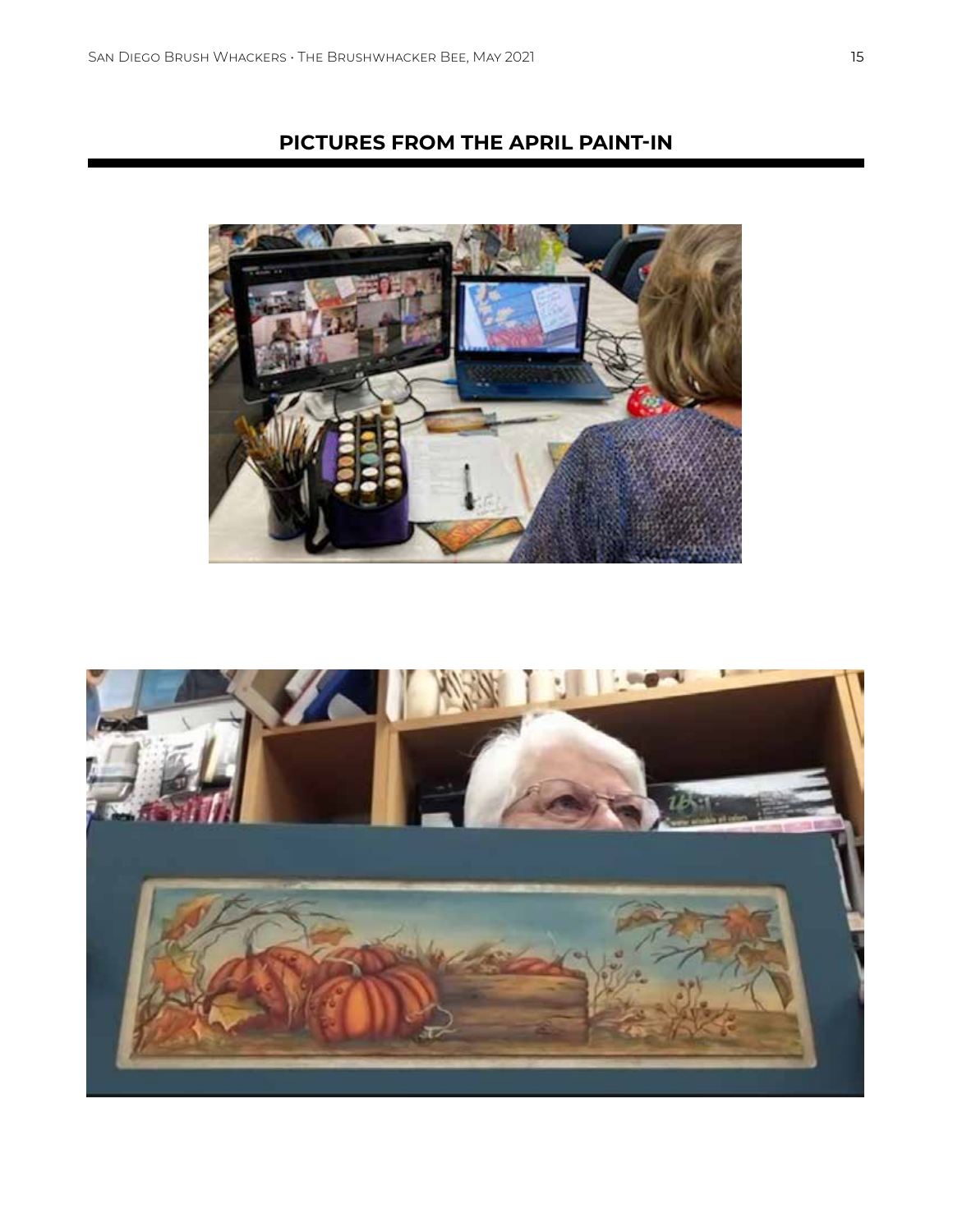# **PICTURES FROM THE APRIL PAINT-IN**



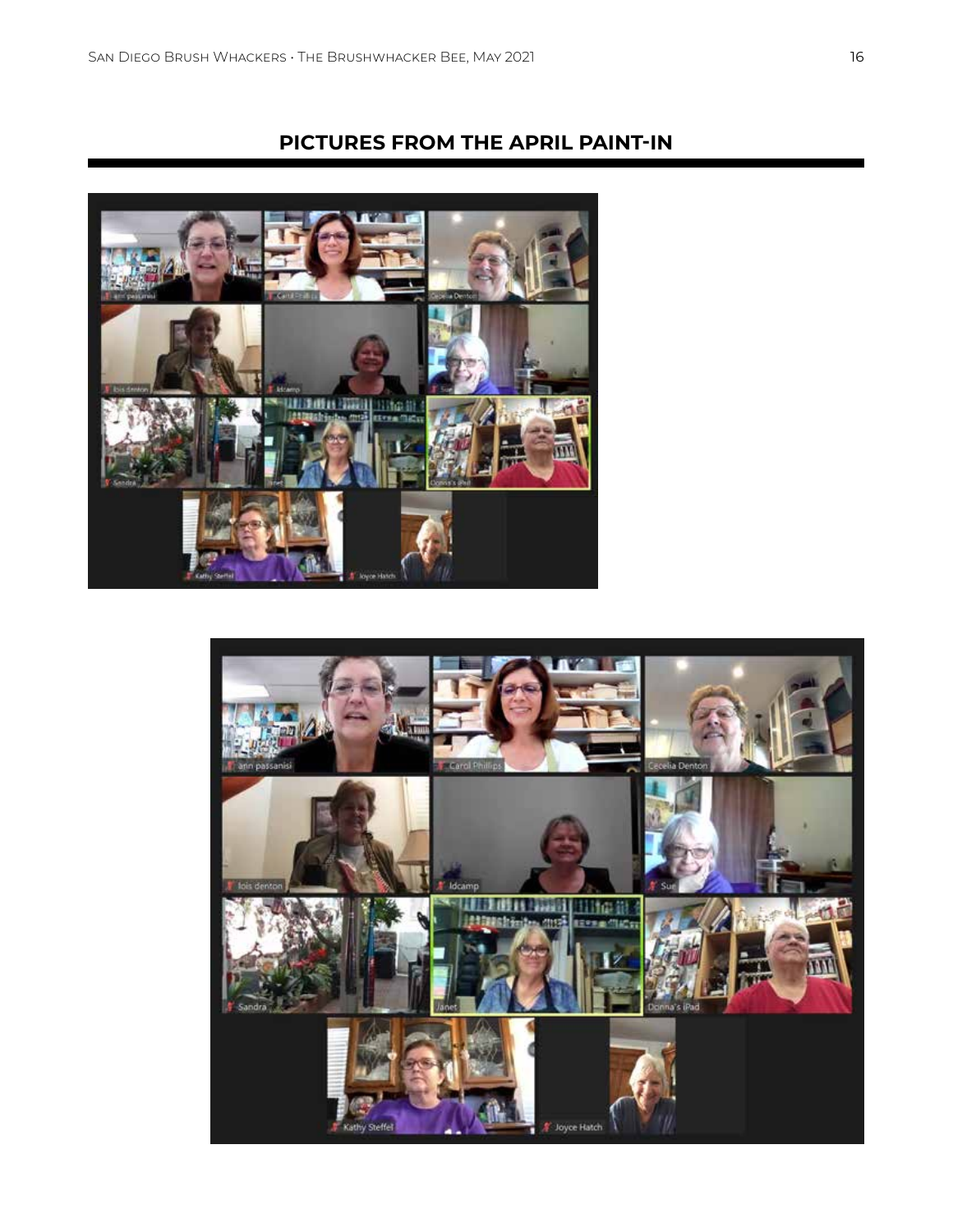# **PICTURES FROM THE APRIL PAINT-IN**



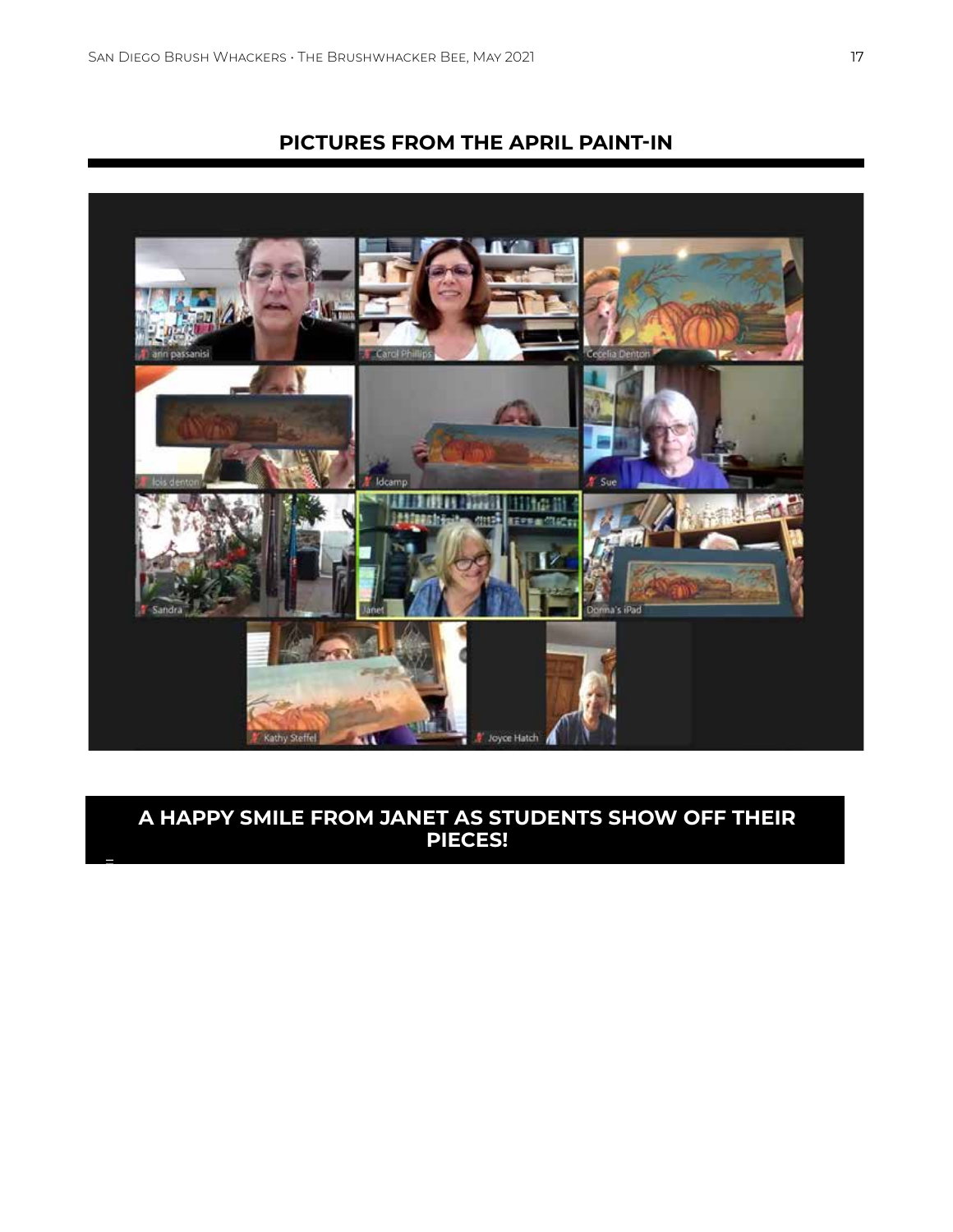=

# **PICTURES FROM THE APRIL PAINT-IN**



# **A HAPPY SMILE FROM JANET AS STUDENTS SHOW OFF THEIR PIECES!**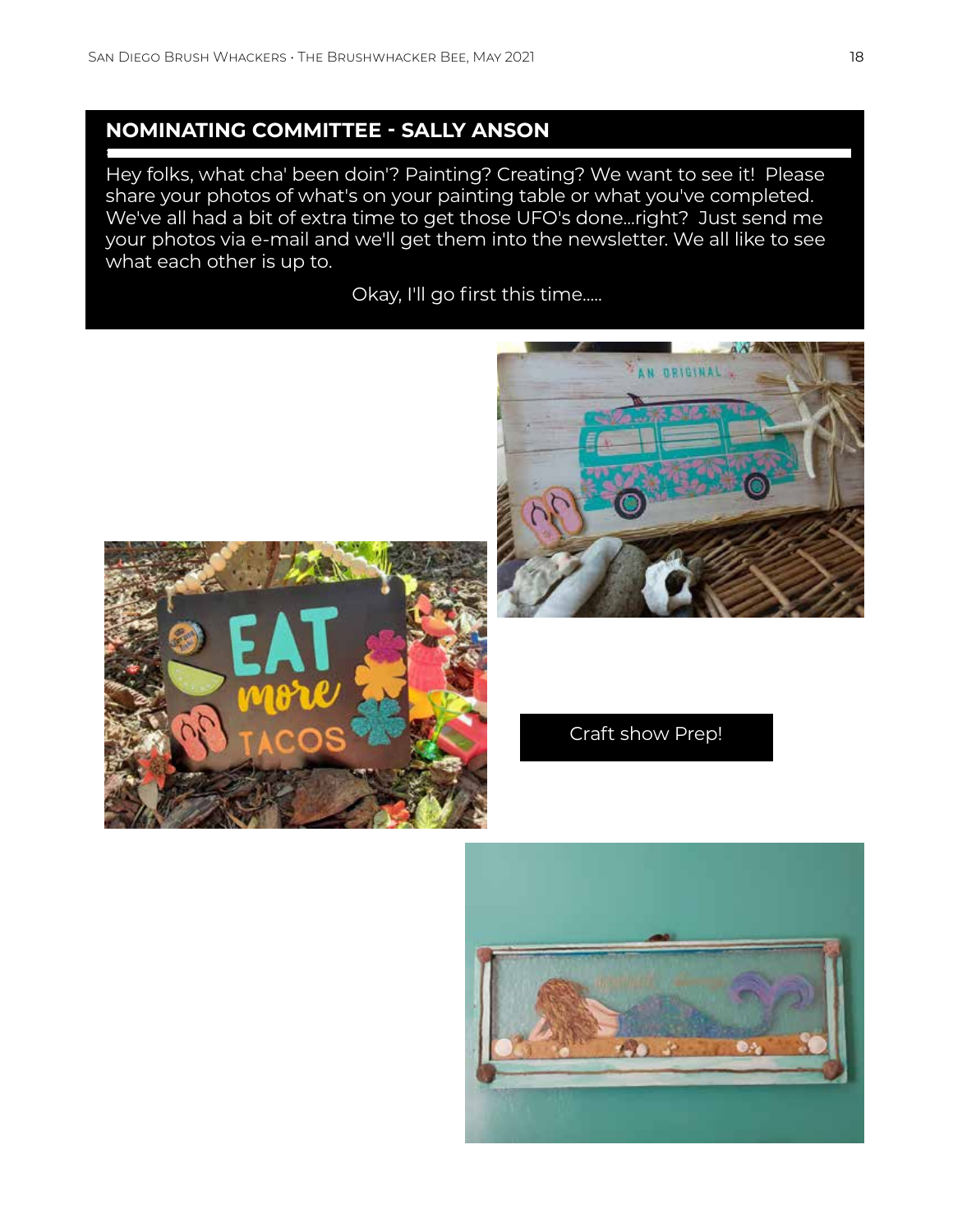=

# **NOMINATING COMMITTEE - SALLY ANSON**

Hey folks, what cha' been doin'? Painting? Creating? We want to see it! Please share your photos of what's on your painting table or what you've completed. We've all had a bit of extra time to get those UFO's done...right? Just send me your photos via e-mail and we'll get them into the newsletter. We all like to see what each other is up to.

Okay, I'll go first this time.....





Craft show Prep!